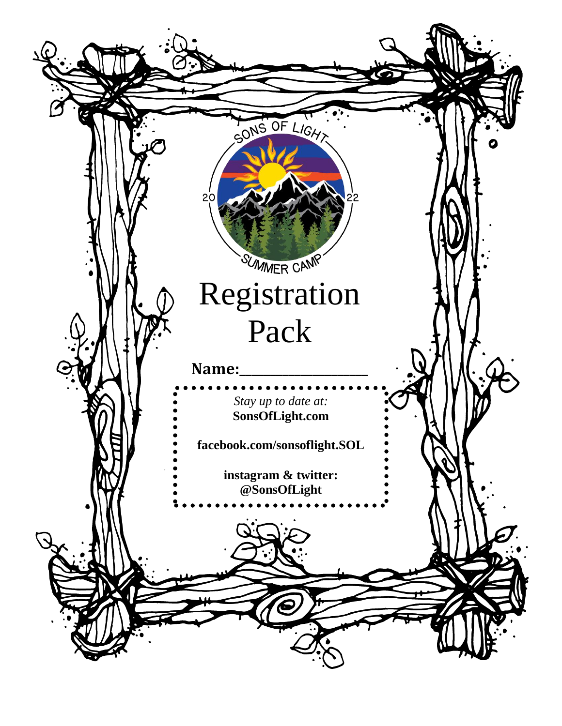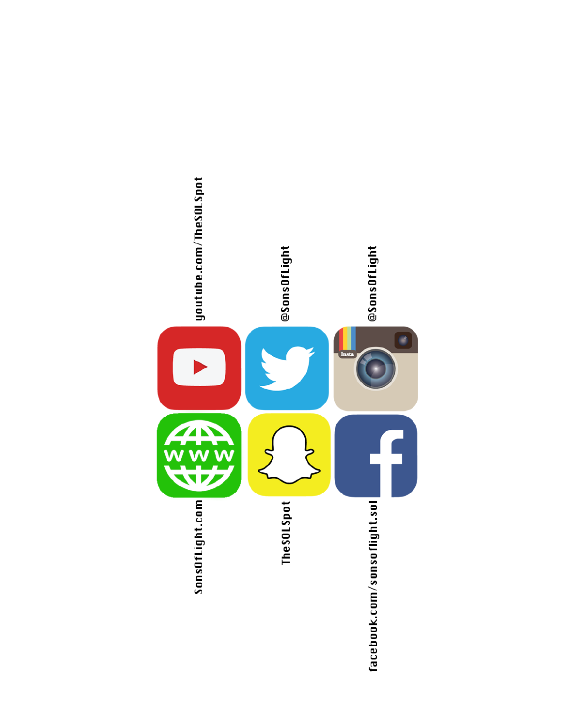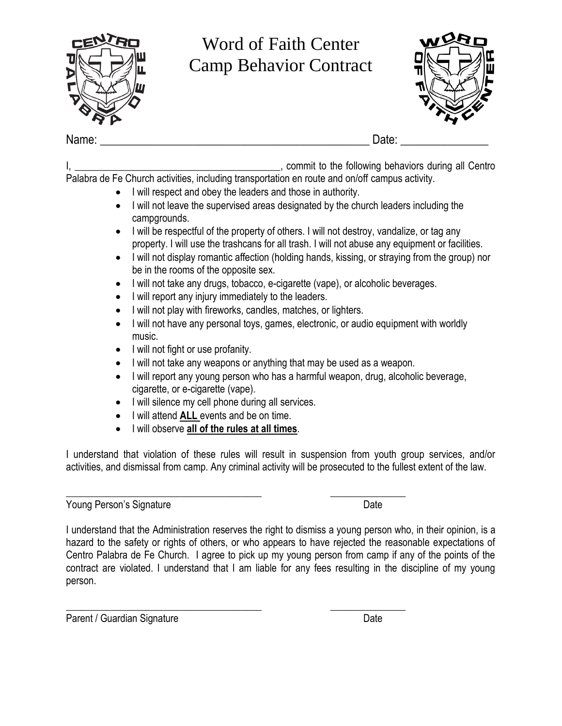

I, the following behaviors during all Centro

- Palabra de Fe Church activities, including transportation en route and on/off campus activity.
	- I will respect and obey the leaders and those in authority.
	- I will not leave the supervised areas designated by the church leaders including the campgrounds.
	- I will be respectful of the property of others. I will not destroy, vandalize, or tag any property. I will use the trashcans for all trash. I will not abuse any equipment or facilities.
	- I will not display romantic affection (holding hands, kissing, or straying from the group) nor be in the rooms of the opposite sex.
	- I will not take any drugs, tobacco, e-cigarette (vape), or alcoholic beverages.
	- I will report any injury immediately to the leaders.
	- I will not play with fireworks, candles, matches, or lighters.
	- I will not have any personal toys, games, electronic, or audio equipment with worldly music.
	- I will not fight or use profanity.
	- I will not take any weapons or anything that may be used as a weapon.
	- I will report any young person who has a harmful weapon, drug, alcoholic beverage, cigarette, or e-cigarette (vape).
	- I will silence my cell phone during all services.

\_\_\_\_\_\_\_\_\_\_\_\_\_\_\_\_\_\_\_\_\_\_\_\_\_\_\_\_\_\_\_\_\_\_\_\_\_\_\_ \_\_\_\_\_\_\_\_\_\_\_\_\_\_\_

- I will attend **ALL** events and be on time.
- I will observe **all of the rules at all times**.

I understand that violation of these rules will result in suspension from youth group services, and/or activities, and dismissal from camp. Any criminal activity will be prosecuted to the fullest extent of the law.

Young Person's Signature **Date** Date Date

I understand that the Administration reserves the right to dismiss a young person who, in their opinion, is a hazard to the safety or rights of others, or who appears to have rejected the reasonable expectations of Centro Palabra de Fe Church. I agree to pick up my young person from camp if any of the points of the contract are violated. I understand that I am liable for any fees resulting in the discipline of my young person.

\_\_\_\_\_\_\_\_\_\_\_\_\_\_\_\_\_\_\_\_\_\_\_\_\_\_\_\_\_\_\_\_\_\_\_\_\_\_\_ \_\_\_\_\_\_\_\_\_\_\_\_\_\_\_ Parent / Guardian Signature Date Date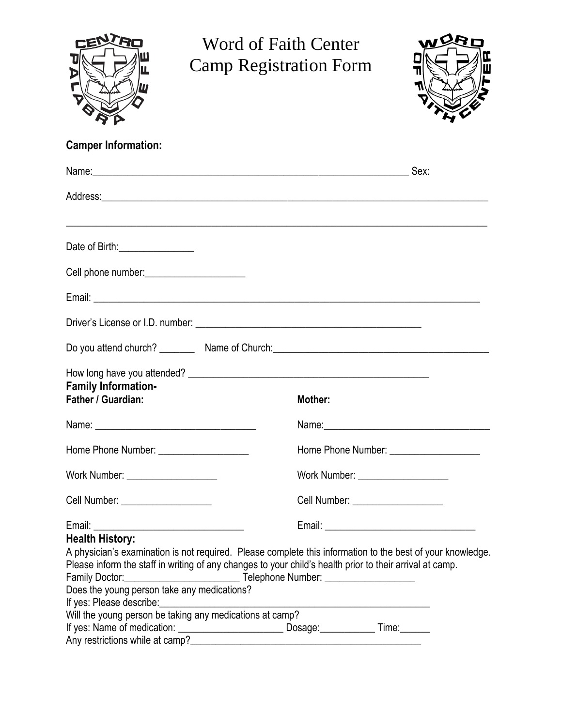

# Word of Faith Center Camp Registration Form



## **Camper Information:**

|                                                                                                                                                                                       | Name: Sex:                                                                                                                                                                                                                     |
|---------------------------------------------------------------------------------------------------------------------------------------------------------------------------------------|--------------------------------------------------------------------------------------------------------------------------------------------------------------------------------------------------------------------------------|
|                                                                                                                                                                                       |                                                                                                                                                                                                                                |
| Date of Birth: _________________                                                                                                                                                      |                                                                                                                                                                                                                                |
| Cell phone number: _________________________                                                                                                                                          |                                                                                                                                                                                                                                |
|                                                                                                                                                                                       |                                                                                                                                                                                                                                |
|                                                                                                                                                                                       |                                                                                                                                                                                                                                |
|                                                                                                                                                                                       | Do you attend church? Name of Church: Name of Church by the contract of the contract of the contract of the contract of the contract of the contract of the contract of the contract of the contract of the contract of the co |
| <b>Family Information-</b><br>Father / Guardian:                                                                                                                                      | Mother:                                                                                                                                                                                                                        |
|                                                                                                                                                                                       |                                                                                                                                                                                                                                |
| Home Phone Number: _____________________                                                                                                                                              | Home Phone Number: ______________________                                                                                                                                                                                      |
| Work Number: _____________________                                                                                                                                                    | Work Number: _____________________                                                                                                                                                                                             |
| Cell Number: ____________________                                                                                                                                                     | Cell Number: ___________________                                                                                                                                                                                               |
| <b>Health History:</b><br>Family Doctor:<br>Does the young person take any medications?<br>If yes: Please describe:                                                                   | A physician's examination is not required. Please complete this information to the best of your knowledge.<br>Please inform the staff in writing of any changes to your child's health prior to their arrival at camp.         |
| Will the young person be taking any medications at camp?<br>If yes: Name of medication: ______________________________ Dosage: ____________<br>Any restrictions while at camp?_______ | Time:______                                                                                                                                                                                                                    |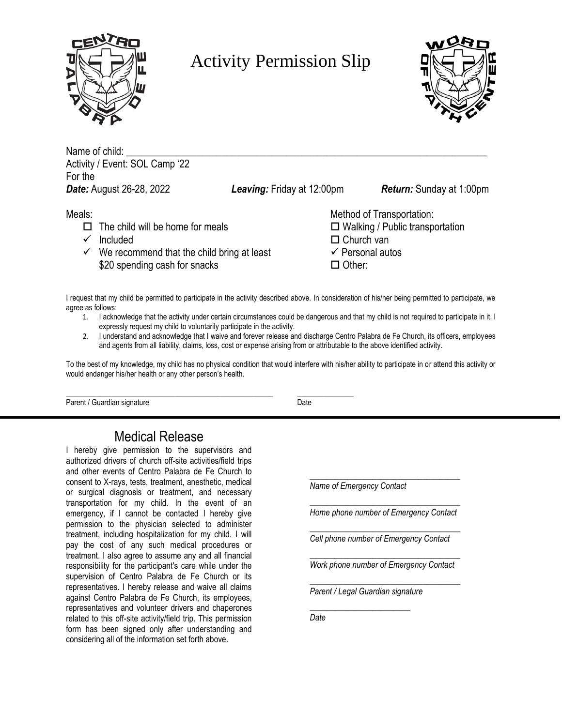

## Activity Permission Slip



Name of child: Activity / Event: SOL Camp '22 For the *Date:* August 26-28, 2022 *Leaving:* Friday at 12:00pm *Return:* Sunday at 1:00pm

- $\Box$  The child will be home for meals  $\Box$  Walking / Public transportation
- $\checkmark$  Included  $\Box$
- ✓ We recommend that the child bring at least  $\cdot$ \$20 spending cash for snacks 
<sup>C</sup>

| Meals: |                                                         | Method of Transportation:          |
|--------|---------------------------------------------------------|------------------------------------|
|        | $\Box$ The child will be home for meals                 | $\Box$ Walking / Public transporta |
|        | $\checkmark$ Included                                   | $\Box$ Church van                  |
|        | $\checkmark$ We recommend that the child bring at least | $\checkmark$ Personal autos        |
|        | \$20 spending cash for snacks                           | $\Box$ Other:                      |

I request that my child be permitted to participate in the activity described above. In consideration of his/her being permitted to participate, we agree as follows:

- 1. I acknowledge that the activity under certain circumstances could be dangerous and that my child is not required to participate in it. I expressly request my child to voluntarily participate in the activity.
- 2. I understand and acknowledge that I waive and forever release and discharge Centro Palabra de Fe Church, its officers, employees and agents from all liability, claims, loss, cost or expense arising from or attributable to the above identified activity.

To the best of my knowledge, my child has no physical condition that would interfere with his/her ability to participate in or attend this activity or would endanger his/her health or any other person's health.

\_\_\_\_\_\_\_\_\_\_\_\_\_\_\_\_\_\_\_\_\_\_\_\_\_\_\_\_\_\_\_\_\_\_\_\_\_\_\_\_\_\_\_\_\_\_\_\_\_\_\_\_\_\_\_ \_\_\_\_\_\_\_\_\_\_\_\_\_\_\_ Parent / Guardian signature Date

### Medical Release

I hereby give permission to the supervisors and authorized drivers of church off-site activities/field trips and other events of Centro Palabra de Fe Church to consent to X-rays, tests, treatment, anesthetic, medical or surgical diagnosis or treatment, and necessary transportation for my child. In the event of an emergency, if I cannot be contacted I hereby give permission to the physician selected to administer treatment, including hospitalization for my child. I will pay the cost of any such medical procedures or treatment. I also agree to assume any and all financial responsibility for the participant's care while under the supervision of Centro Palabra de Fe Church or its representatives. I hereby release and waive all claims against Centro Palabra de Fe Church, its employees, representatives and volunteer drivers and chaperones related to this off-site activity/field trip. This permission form has been signed only after understanding and considering all of the information set forth above.

\_\_\_\_\_\_\_\_\_\_\_\_\_\_\_\_\_\_\_\_\_\_\_\_\_\_\_\_\_\_\_\_\_\_\_\_ *Name of Emergency Contact*

\_\_\_\_\_\_\_\_\_\_\_\_\_\_\_\_\_\_\_\_\_\_\_\_\_\_\_\_\_\_\_\_\_\_\_\_ *Home phone number of Emergency Contact*

\_\_\_\_\_\_\_\_\_\_\_\_\_\_\_\_\_\_\_\_\_\_\_\_\_\_\_\_\_\_\_\_\_\_\_\_ *Cell phone number of Emergency Contact*

\_\_\_\_\_\_\_\_\_\_\_\_\_\_\_\_\_\_\_\_\_\_\_\_\_\_\_\_\_\_\_\_\_\_\_\_ *Work phone number of Emergency Contact* \_\_\_\_\_\_\_\_\_\_\_\_\_\_\_\_\_\_\_\_\_\_\_\_\_\_\_\_\_\_\_\_\_\_\_\_

*Parent / Legal Guardian signature*

 $\frac{1}{2}$  , and the set of the set of the set of the set of the set of the set of the set of the set of the set of the set of the set of the set of the set of the set of the set of the set of the set of the set of the set

*Date*